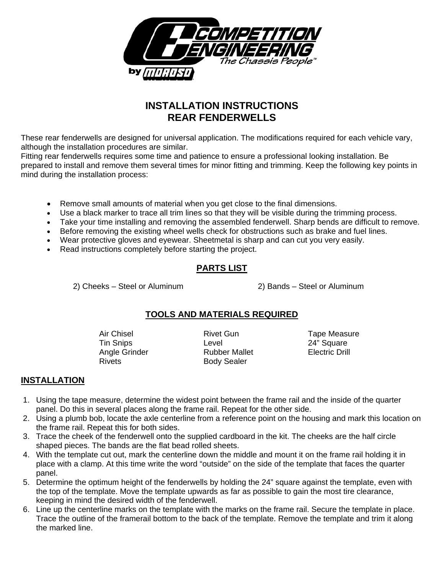

# **INSTALLATION INSTRUCTIONS REAR FENDERWELLS**

These rear fenderwells are designed for universal application. The modifications required for each vehicle vary, although the installation procedures are similar.

Fitting rear fenderwells requires some time and patience to ensure a professional looking installation. Be prepared to install and remove them several times for minor fitting and trimming. Keep the following key points in mind during the installation process:

- Remove small amounts of material when you get close to the final dimensions.
- Use a black marker to trace all trim lines so that they will be visible during the trimming process.
- Take your time installing and removing the assembled fenderwell. Sharp bends are difficult to remove.
- Before removing the existing wheel wells check for obstructions such as brake and fuel lines.
- Wear protective gloves and eyewear. Sheetmetal is sharp and can cut you very easily.
- Read instructions completely before starting the project.

## **PARTS LIST**

2) Cheeks – Steel or Aluminum 2) Bands – Steel or Aluminum

### **TOOLS AND MATERIALS REQUIRED**

Rivets **Body Sealer** 

Tin Snips **Level** Level 24" Square Angle Grinder **Rubber Mallet** Electric Drill

Air Chisel **Rivet Gun Rivet Gun** Tape Measure

### **INSTALLATION**

- 1. Using the tape measure, determine the widest point between the frame rail and the inside of the quarter panel. Do this in several places along the frame rail. Repeat for the other side.
- 2. Using a plumb bob, locate the axle centerline from a reference point on the housing and mark this location on the frame rail. Repeat this for both sides.
- 3. Trace the cheek of the fenderwell onto the supplied cardboard in the kit. The cheeks are the half circle shaped pieces. The bands are the flat bead rolled sheets.
- 4. With the template cut out, mark the centerline down the middle and mount it on the frame rail holding it in place with a clamp. At this time write the word "outside" on the side of the template that faces the quarter panel.
- 5. Determine the optimum height of the fenderwells by holding the 24" square against the template, even with the top of the template. Move the template upwards as far as possible to gain the most tire clearance, keeping in mind the desired width of the fenderwell.
- 6. Line up the centerline marks on the template with the marks on the frame rail. Secure the template in place. Trace the outline of the framerail bottom to the back of the template. Remove the template and trim it along the marked line.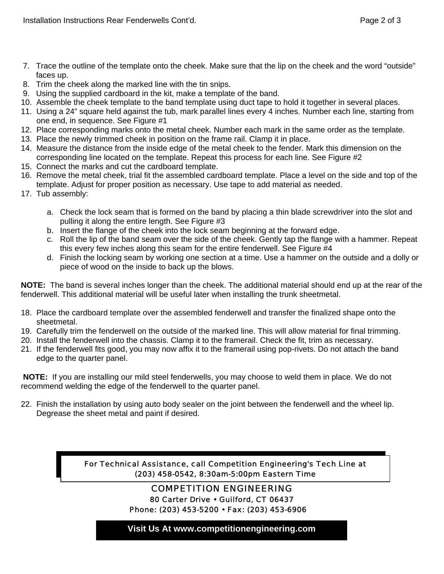- 7. Trace the outline of the template onto the cheek. Make sure that the lip on the cheek and the word "outside" faces up.
- 8. Trim the cheek along the marked line with the tin snips.
- 9. Using the supplied cardboard in the kit, make a template of the band.
- 10. Assemble the cheek template to the band template using duct tape to hold it together in several places.
- 11. Using a 24" square held against the tub, mark parallel lines every 4 inches. Number each line, starting from one end, in sequence. See Figure #1
- 12. Place corresponding marks onto the metal cheek. Number each mark in the same order as the template.
- 13. Place the newly trimmed cheek in position on the frame rail. Clamp it in place.
- 14. Measure the distance from the inside edge of the metal cheek to the fender. Mark this dimension on the corresponding line located on the template. Repeat this process for each line. See Figure #2
- 15. Connect the marks and cut the cardboard template.
- 16. Remove the metal cheek, trial fit the assembled cardboard template. Place a level on the side and top of the template. Adjust for proper position as necessary. Use tape to add material as needed.
- 17. Tub assembly:
	- a. Check the lock seam that is formed on the band by placing a thin blade screwdriver into the slot and pulling it along the entire length. See Figure #3
	- b. Insert the flange of the cheek into the lock seam beginning at the forward edge.
	- c. Roll the lip of the band seam over the side of the cheek. Gently tap the flange with a hammer. Repeat this every few inches along this seam for the entire fenderwell. See Figure #4
	- d. Finish the locking seam by working one section at a time. Use a hammer on the outside and a dolly or piece of wood on the inside to back up the blows.

**NOTE:** The band is several inches longer than the cheek. The additional material should end up at the rear of the fenderwell. This additional material will be useful later when installing the trunk sheetmetal.

- 18. Place the cardboard template over the assembled fenderwell and transfer the finalized shape onto the sheetmetal.
- 19. Carefully trim the fenderwell on the outside of the marked line. This will allow material for final trimming.
- 20. Install the fenderwell into the chassis. Clamp it to the framerail. Check the fit, trim as necessary.
- 21. If the fenderwell fits good, you may now affix it to the framerail using pop-rivets. Do not attach the band edge to the quarter panel.

**NOTE:** If you are installing our mild steel fenderwells, you may choose to weld them in place. We do not recommend welding the edge of the fenderwell to the quarter panel.

22. Finish the installation by using auto body sealer on the joint between the fenderwell and the wheel lip. Degrease the sheet metal and paint if desired.

> *For Technical Assistance, call Competition Engineering's Tech Line at (203) 458-0542, 8:30am-5:00pm Eastern Time*

#### *COMPETITION ENGINEERING 80 Carter Drive • Guilford, CT 06437 Phone: (203) 453-5200 • Fax: (203) 453-6906*

**Visit Us At www.competitionengineering.com**